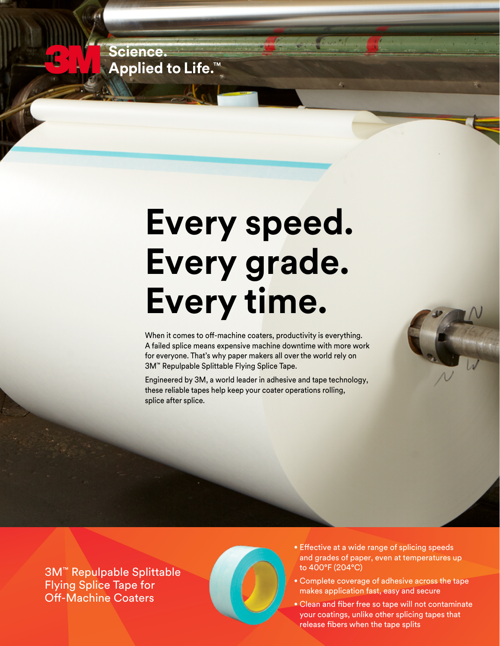Science. **Applied to Life.™** 

## **Every speed. Every grade. Every time.**

When it comes to off-machine coaters, productivity is everything. A failed splice means expensive machine downtime with more work for everyone. That's why paper makers all over the world rely on 3M™ Repulpable Splittable Flying Splice Tape.

Engineered by 3M, a world leader in adhesive and tape technology, these reliable tapes help keep your coater operations rolling, splice after splice.

3M™ Repulpable Splittable Flying Splice Tape for Off-Machine Coaters



- Effective at a wide range of splicing speeds and grades of paper, even at temperatures up to 400°F (204°C)
- Complete coverage of adhesive across the tape makes application fast, easy and secure
- Clean and fiber free so tape will not contaminate your coatings, unlike other splicing tapes that release fibers when the tape splits